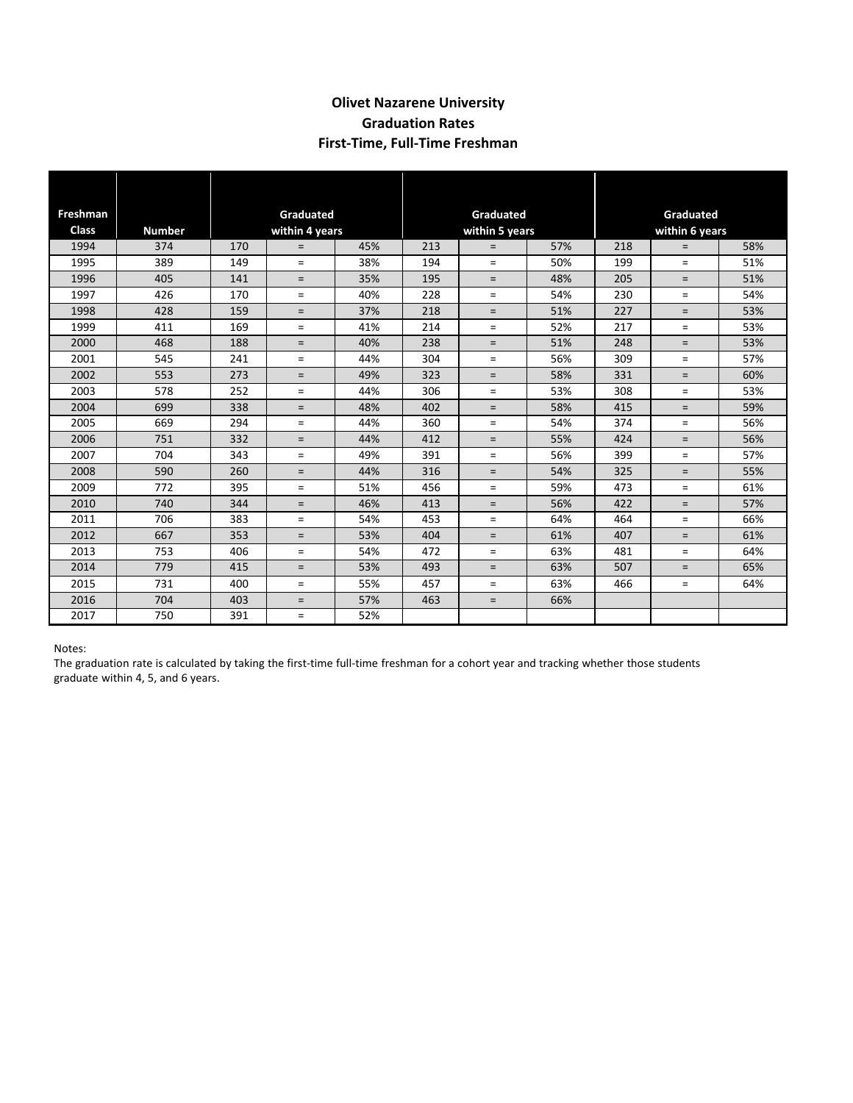## **Olivet Nazarene University Graduation Rates First‐Time, Full‐Time Freshman**

| <b>Freshman</b><br><b>Class</b> | <b>Number</b> | Graduated                           |     |     | Graduated                    |            |     | Graduated             |            |     |
|---------------------------------|---------------|-------------------------------------|-----|-----|------------------------------|------------|-----|-----------------------|------------|-----|
| 1994                            | 374           | within 4 years<br>45%<br>170<br>$=$ |     |     | within 5 years<br>57%<br>213 |            |     | within 6 years<br>58% |            |     |
| 1995                            | 389           | 149                                 | $=$ | 38% | 194                          | $=$<br>$=$ | 50% | 218<br>199            | $=$<br>$=$ | 51% |
| 1996                            | 405           | 141                                 | $=$ | 35% | 195                          | $=$        | 48% | 205                   | $=$        | 51% |
|                                 | 426           |                                     |     |     |                              |            |     |                       |            |     |
| 1997                            |               | 170                                 | $=$ | 40% | 228                          | $=$        | 54% | 230                   | $=$        | 54% |
| 1998                            | 428           | 159                                 | $=$ | 37% | 218                          | $=$        | 51% | 227                   | $=$        | 53% |
| 1999                            | 411           | 169                                 | $=$ | 41% | 214                          | $=$        | 52% | 217                   | $=$        | 53% |
| 2000                            | 468           | 188                                 | $=$ | 40% | 238                          | $=$        | 51% | 248                   | $=$        | 53% |
| 2001                            | 545           | 241                                 | $=$ | 44% | 304                          | $=$        | 56% | 309                   | $=$        | 57% |
| 2002                            | 553           | 273                                 | $=$ | 49% | 323                          | $=$        | 58% | 331                   | $=$        | 60% |
| 2003                            | 578           | 252                                 | $=$ | 44% | 306                          | $=$        | 53% | 308                   | $=$        | 53% |
| 2004                            | 699           | 338                                 | $=$ | 48% | 402                          | $=$        | 58% | 415                   | $=$        | 59% |
| 2005                            | 669           | 294                                 | $=$ | 44% | 360                          | $=$        | 54% | 374                   | $=$        | 56% |
| 2006                            | 751           | 332                                 | $=$ | 44% | 412                          | $=$        | 55% | 424                   | $=$        | 56% |
| 2007                            | 704           | 343                                 | $=$ | 49% | 391                          | $=$        | 56% | 399                   | $=$        | 57% |
| 2008                            | 590           | 260                                 | $=$ | 44% | 316                          | $=$        | 54% | 325                   | $=$        | 55% |
| 2009                            | 772           | 395                                 | $=$ | 51% | 456                          | $=$        | 59% | 473                   | $=$        | 61% |
| 2010                            | 740           | 344                                 | $=$ | 46% | 413                          | $=$        | 56% | 422                   | $\equiv$   | 57% |
| 2011                            | 706           | 383                                 | $=$ | 54% | 453                          | $=$        | 64% | 464                   | $=$        | 66% |
| 2012                            | 667           | 353                                 | $=$ | 53% | 404                          | $=$        | 61% | 407                   | $=$        | 61% |
| 2013                            | 753           | 406                                 | $=$ | 54% | 472                          | $=$        | 63% | 481                   | $=$        | 64% |
| 2014                            | 779           | 415                                 | $=$ | 53% | 493                          | $=$        | 63% | 507                   | $=$        | 65% |
| 2015                            | 731           | 400                                 | $=$ | 55% | 457                          | $=$        | 63% | 466                   | $=$        | 64% |
| 2016                            | 704           | 403                                 | $=$ | 57% | 463                          | $=$        | 66% |                       |            |     |
| 2017                            | 750           | 391                                 | $=$ | 52% |                              |            |     |                       |            |     |

Notes:

The graduation rate is calculated by taking the first-time full-time freshman for a cohort year and tracking whether those students graduate within 4, 5, and 6 years.